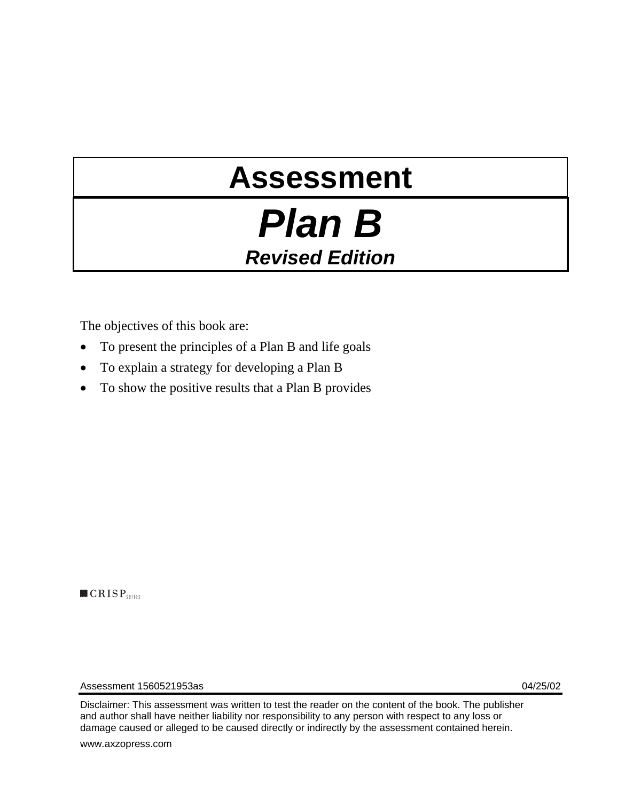# **Assessment**

## *Plan B Revised Edition*

The objectives of this book are:

- To present the principles of a Plan B and life goals
- To explain a strategy for developing a Plan B
- To show the positive results that a Plan B provides

 $\blacksquare$   $CRISP$ <sub>series</sub>

Assessment 1560521953as 04/25/02

Disclaimer: This assessment was written to test the reader on the content of the book. The publisher and author shall have neither liability nor responsibility to any person with respect to any loss or damage caused or alleged to be caused directly or indirectly by the assessment contained herein.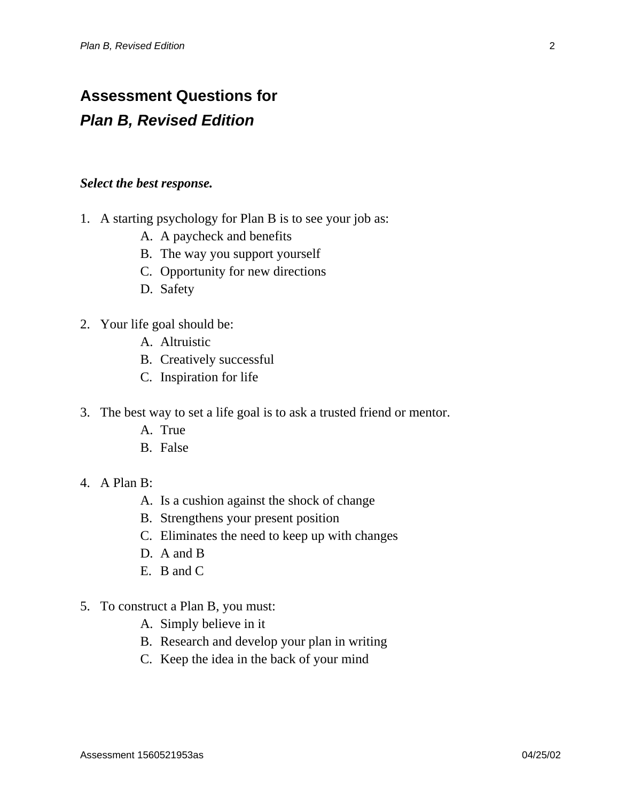### **Assessment Questions for**  *Plan B, Revised Edition*

#### *Select the best response.*

- 1. A starting psychology for Plan B is to see your job as:
	- A. A paycheck and benefits
	- B. The way you support yourself
	- C. Opportunity for new directions
	- D. Safety
- 2. Your life goal should be:
	- A. Altruistic
	- B. Creatively successful
	- C. Inspiration for life
- 3. The best way to set a life goal is to ask a trusted friend or mentor.
	- A. True
	- B. False
- 4. A Plan B:
	- A. Is a cushion against the shock of change
	- B. Strengthens your present position
	- C. Eliminates the need to keep up with changes
	- D. A and B
	- E. B and C
- 5. To construct a Plan B, you must:
	- A. Simply believe in it
	- B. Research and develop your plan in writing
	- C. Keep the idea in the back of your mind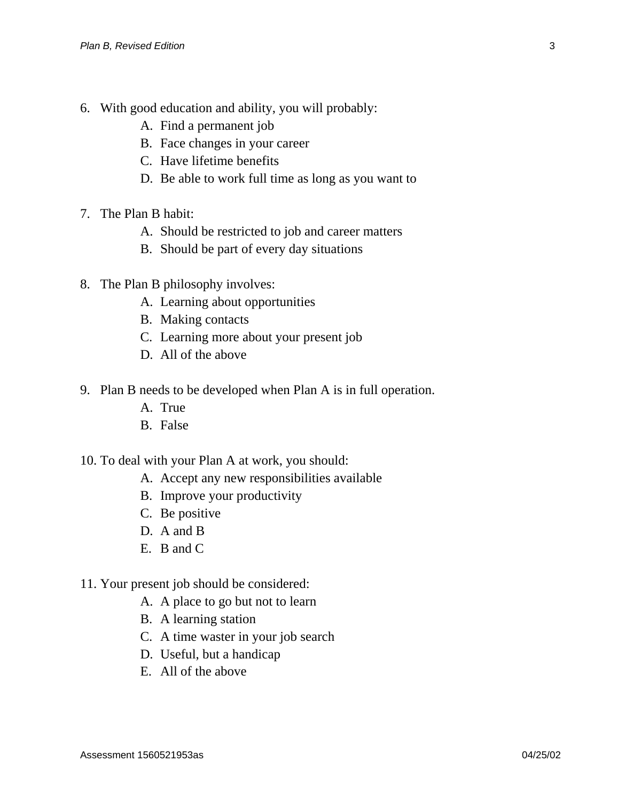- 6. With good education and ability, you will probably:
	- A. Find a permanent job
	- B. Face changes in your career
	- C. Have lifetime benefits
	- D. Be able to work full time as long as you want to
- 7. The Plan B habit:
	- A. Should be restricted to job and career matters
	- B. Should be part of every day situations
- 8. The Plan B philosophy involves:
	- A. Learning about opportunities
	- B. Making contacts
	- C. Learning more about your present job
	- D. All of the above
- 9. Plan B needs to be developed when Plan A is in full operation.
	- A. True
	- B. False
- 10. To deal with your Plan A at work, you should:
	- A. Accept any new responsibilities available
	- B. Improve your productivity
	- C. Be positive
	- D. A and B.
	- E. B and C
- 11. Your present job should be considered:
	- A. A place to go but not to learn
	- B. A learning station
	- C. A time waster in your job search
	- D. Useful, but a handicap
	- E. All of the above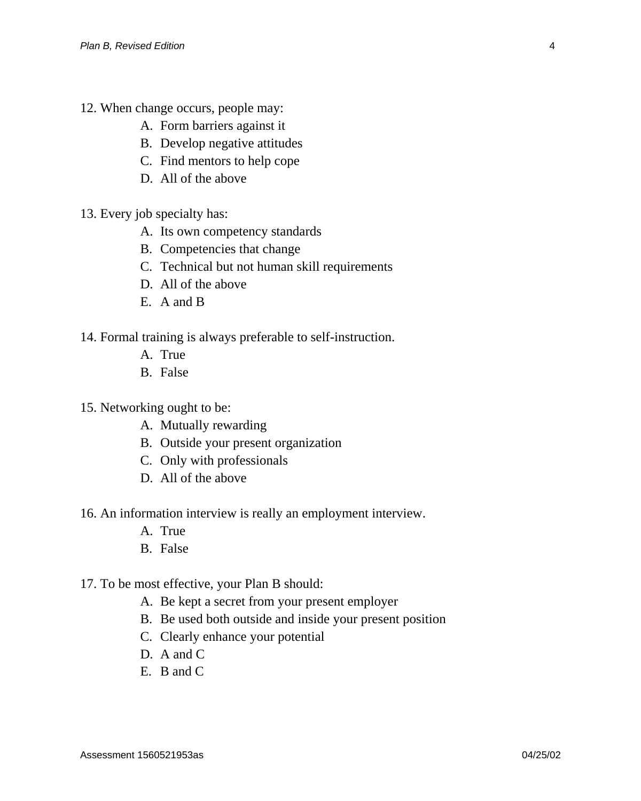- 12. When change occurs, people may:
	- A. Form barriers against it
	- B. Develop negative attitudes
	- C. Find mentors to help cope
	- D. All of the above
- 13. Every job specialty has:
	- A. Its own competency standards
	- B. Competencies that change
	- C. Technical but not human skill requirements
	- D. All of the above
	- E. A and B

14. Formal training is always preferable to self-instruction.

- A. True
- B. False
- 15. Networking ought to be:
	- A. Mutually rewarding
	- B. Outside your present organization
	- C. Only with professionals
	- D. All of the above
- 16. An information interview is really an employment interview.
	- A. True
	- B. False
- 17. To be most effective, your Plan B should:
	- A. Be kept a secret from your present employer
	- B. Be used both outside and inside your present position
	- C. Clearly enhance your potential
	- D. A and C
	- E. B and C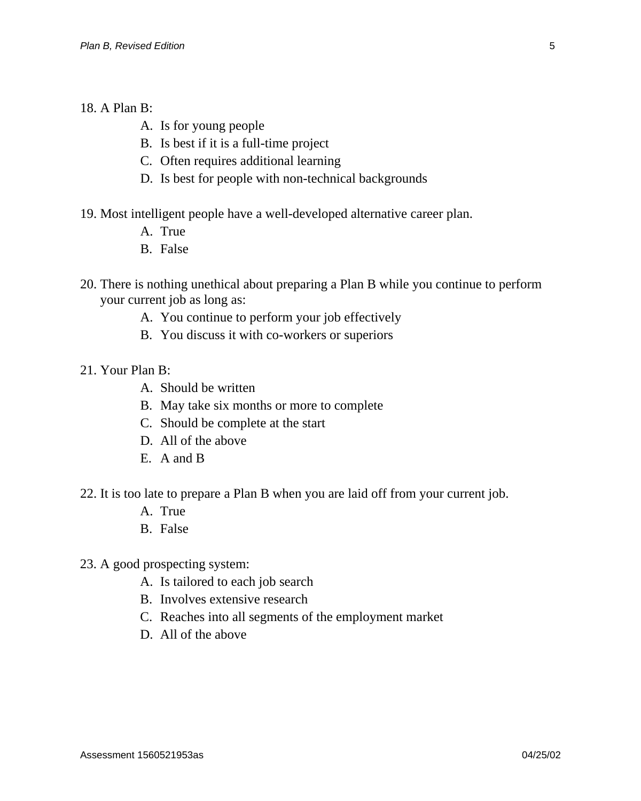#### 18. A Plan B:

- A. Is for young people
- B. Is best if it is a full-time project
- C. Often requires additional learning
- D. Is best for people with non-technical backgrounds
- 19. Most intelligent people have a well-developed alternative career plan.
	- A. True
	- B. False
- 20. There is nothing unethical about preparing a Plan B while you continue to perform your current job as long as:
	- A. You continue to perform your job effectively
	- B. You discuss it with co-workers or superiors
- 21. Your Plan B:
	- A. Should be written
	- B. May take six months or more to complete
	- C. Should be complete at the start
	- D. All of the above
	- E. A and B
- 22. It is too late to prepare a Plan B when you are laid off from your current job.
	- A. True
	- B. False
- 23. A good prospecting system:
	- A. Is tailored to each job search
	- B. Involves extensive research
	- C. Reaches into all segments of the employment market
	- D. All of the above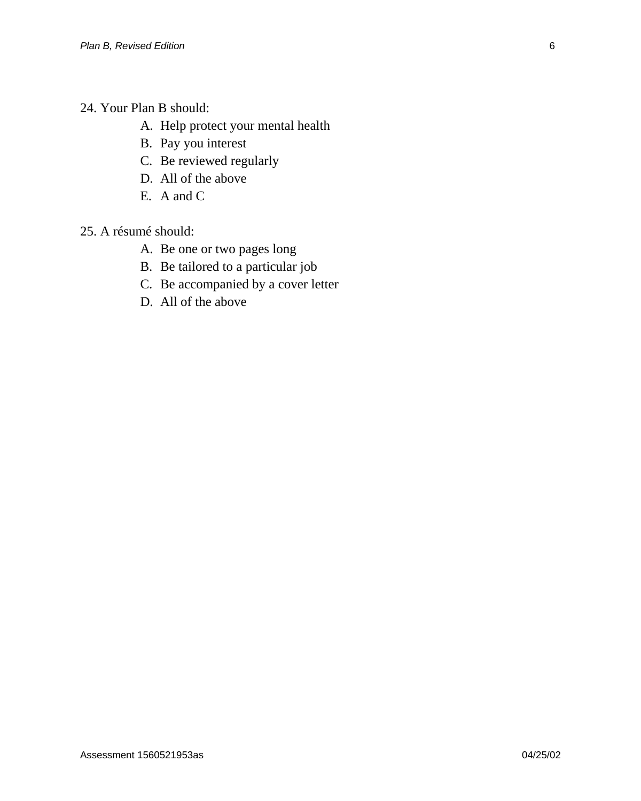- 24. Your Plan B should:
	- A. Help protect your mental health
	- B. Pay you interest
	- C. Be reviewed regularly
	- D. All of the above
	- E. A and C
- 25. A résumé should:
	- A. Be one or two pages long
	- B. Be tailored to a particular job
	- C. Be accompanied by a cover letter
	- D. All of the above